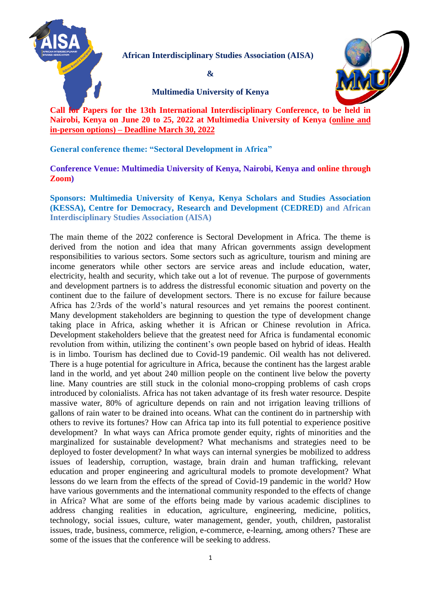

 **African Interdisciplinary Studies Association (AISA)**

**&**



**Multimedia University of Kenya**

**Call for Papers for the 13th International Interdisciplinary Conference, to be held in Nairobi, Kenya on June 20 to 25, 2022 at Multimedia University of Kenya (online and in-person options) – Deadline March 30, 2022**

**General conference theme: "Sectoral Development in Africa"**

**Conference Venue: Multimedia University of Kenya, Nairobi, Kenya and online through Zoom)**

**Sponsors: Multimedia University of Kenya, Kenya Scholars and Studies Association (KESSA), Centre for Democracy, Research and Development (CEDRED) and African Interdisciplinary Studies Association (AISA)**

The main theme of the 2022 conference is Sectoral Development in Africa. The theme is derived from the notion and idea that many African governments assign development responsibilities to various sectors. Some sectors such as agriculture, tourism and mining are income generators while other sectors are service areas and include education, water, electricity, health and security, which take out a lot of revenue. The purpose of governments and development partners is to address the distressful economic situation and poverty on the continent due to the failure of development sectors. There is no excuse for failure because Africa has 2/3rds of the world's natural resources and yet remains the poorest continent. Many development stakeholders are beginning to question the type of development change taking place in Africa, asking whether it is African or Chinese revolution in Africa. Development stakeholders believe that the greatest need for Africa is fundamental economic revolution from within, utilizing the continent's own people based on hybrid of ideas. Health is in limbo. Tourism has declined due to Covid-19 pandemic. Oil wealth has not delivered. There is a huge potential for agriculture in Africa, because the continent has the largest arable land in the world, and yet about 240 million people on the continent live below the poverty line. Many countries are still stuck in the colonial mono-cropping problems of cash crops introduced by colonialists. Africa has not taken advantage of its fresh water resource. Despite massive water, 80% of agriculture depends on rain and not irrigation leaving trillions of gallons of rain water to be drained into oceans. What can the continent do in partnership with others to revive its fortunes? How can Africa tap into its full potential to experience positive development? In what ways can Africa promote gender equity, rights of minorities and the marginalized for sustainable development? What mechanisms and strategies need to be deployed to foster development? In what ways can internal synergies be mobilized to address issues of leadership, corruption, wastage, brain drain and human trafficking, relevant education and proper engineering and agricultural models to promote development? What lessons do we learn from the effects of the spread of Covid-19 pandemic in the world? How have various governments and the international community responded to the effects of change in Africa? What are some of the efforts being made by various academic disciplines to address changing realities in education, agriculture, engineering, medicine, politics, technology, social issues, culture, water management, gender, youth, children, pastoralist issues, trade, business, commerce, religion, e-commerce, e-learning, among others? These are some of the issues that the conference will be seeking to address.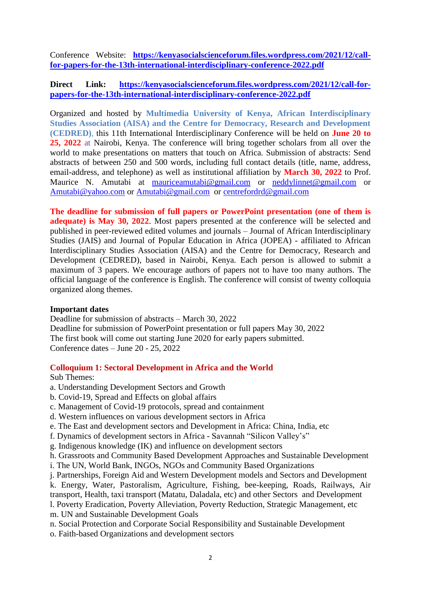Conference Website: **[https://kenyasocialscienceforum.files.wordpress.com/2021/12/call](https://kenyasocialscienceforum.files.wordpress.com/2021/12/call-for-papers-for-the-13th-international-interdisciplinary-conference-2022.pdf)[for-papers-for-the-13th-international-interdisciplinary-conference-2022.pdf](https://kenyasocialscienceforum.files.wordpress.com/2021/12/call-for-papers-for-the-13th-international-interdisciplinary-conference-2022.pdf)**

## Direct Link: [https://kenyasocialscienceforum.files.wordpress.com/2021/12/call-for](https://kenyasocialscienceforum.files.wordpress.com/2021/12/call-for-papers-for-the-13th-international-interdisciplinary-conference-2022.pdf)**[papers-for-the-13th-international-interdisciplinary-conference-2022.pdf](https://kenyasocialscienceforum.files.wordpress.com/2021/12/call-for-papers-for-the-13th-international-interdisciplinary-conference-2022.pdf)**

Organized and hosted by **Multimedia University of Kenya, African Interdisciplinary Studies Association (AISA) and the Centre for Democracy, Research and Development (CEDRED)**, this 11th International Interdisciplinary Conference will be held on **June 20 to 25, 2022** at Nairobi, Kenya. The conference will bring together scholars from all over the world to make presentations on matters that touch on Africa. Submission of abstracts: Send abstracts of between 250 and 500 words, including full contact details (title, name, address, email-address, and telephone) as well as institutional affiliation by **March 30, 2022** to Prof. Maurice N. Amutabi at [mauriceamutabi@gmail.com](mailto:mauriceamutabi@gmail.com) or [neddylinnet@gmail.com](mailto:neddylinnet@gmail.com) or [Amutabi@yahoo.com](mailto:Amutabi@yahoo.com) or [Amutabi@gmail.com](mailto:Amutabi@gmail.com) or [centrefordrd@gmail.com](mailto:centrefordrd@gmail.com)

**The deadline for submission of full papers or PowerPoint presentation (one of them is adequate) is May 30, 2022**. Most papers presented at the conference will be selected and published in peer-reviewed edited volumes and journals – Journal of African Interdisciplinary Studies (JAIS) and Journal of Popular Education in Africa (JOPEA) - affiliated to African Interdisciplinary Studies Association (AISA) and the Centre for Democracy, Research and Development (CEDRED), based in Nairobi, Kenya. Each person is allowed to submit a maximum of 3 papers. We encourage authors of papers not to have too many authors. The official language of the conference is English. The conference will consist of twenty colloquia organized along themes.

### **Important dates**

Deadline for submission of abstracts – March 30, 2022 Deadline for submission of PowerPoint presentation or full papers May 30, 2022 The first book will come out starting June 2020 for early papers submitted. Conference dates – June 20 - 25, 2022

## **Colloquium 1: Sectoral Development in Africa and the World**

Sub Themes:

- a. Understanding Development Sectors and Growth
- b. Covid-19, Spread and Effects on global affairs
- c. Management of Covid-19 protocols, spread and containment
- d. Western influences on various development sectors in Africa
- e. The East and development sectors and Development in Africa: China, India, etc
- f. Dynamics of development sectors in Africa Savannah "Silicon Valley's"
- g. Indigenous knowledge (IK) and influence on development sectors
- h. Grassroots and Community Based Development Approaches and Sustainable Development
- i. The UN, World Bank, INGOs, NGOs and Community Based Organizations
- j. Partnerships, Foreign Aid and Western Development models and Sectors and Development

k. Energy, Water, Pastoralism, Agriculture, Fishing, bee-keeping, Roads, Railways, Air transport, Health, taxi transport (Matatu, Daladala, etc) and other Sectors and Development

l. Poverty Eradication, Poverty Alleviation, Poverty Reduction, Strategic Management, etc m. UN and Sustainable Development Goals

- n. Social Protection and Corporate Social Responsibility and Sustainable Development
- o. Faith-based Organizations and development sectors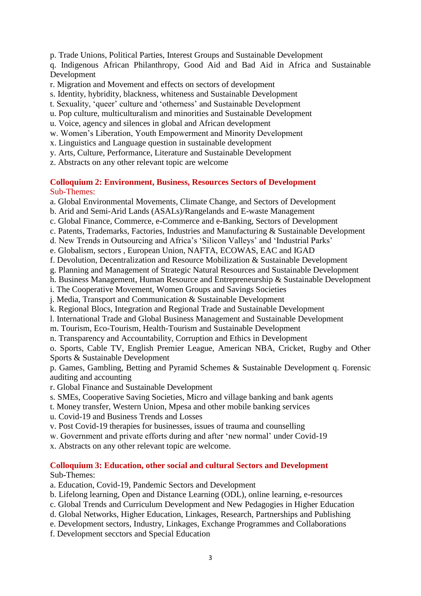p. Trade Unions, Political Parties, Interest Groups and Sustainable Development

q. Indigenous African Philanthropy, Good Aid and Bad Aid in Africa and Sustainable Development

- r. Migration and Movement and effects on sectors of development
- s. Identity, hybridity, blackness, whiteness and Sustainable Development
- t. Sexuality, 'queer' culture and 'otherness' and Sustainable Development
- u. Pop culture, multiculturalism and minorities and Sustainable Development
- u. Voice, agency and silences in global and African development
- w. Women's Liberation, Youth Empowerment and Minority Development
- x. Linguistics and Language question in sustainable development
- y. Arts, Culture, Performance, Literature and Sustainable Development
- z. Abstracts on any other relevant topic are welcome

### **Colloquium 2: Environment, Business, Resources Sectors of Development** Sub-Themes:

- a. Global Environmental Movements, Climate Change, and Sectors of Development
- b. Arid and Semi-Arid Lands (ASALs)/Rangelands and E-waste Management
- c. Global Finance, Commerce, e-Commerce and e-Banking, Sectors of Development
- c. Patents, Trademarks, Factories, Industries and Manufacturing & Sustainable Development
- d. New Trends in Outsourcing and Africa's 'Silicon Valleys' and 'Industrial Parks'
- e. Globalism, sectors , European Union, NAFTA, ECOWAS, EAC and IGAD
- f. Devolution, Decentralization and Resource Mobilization & Sustainable Development
- g. Planning and Management of Strategic Natural Resources and Sustainable Development
- h. Business Management, Human Resource and Entrepreneurship & Sustainable Development
- i. The Cooperative Movement, Women Groups and Savings Societies
- j. Media, Transport and Communication & Sustainable Development
- k. Regional Blocs, Integration and Regional Trade and Sustainable Development
- l. International Trade and Global Business Management and Sustainable Development
- m. Tourism, Eco-Tourism, Health-Tourism and Sustainable Development
- n. Transparency and Accountability, Corruption and Ethics in Development

o. Sports, Cable TV, English Premier League, American NBA, Cricket, Rugby and Other Sports & Sustainable Development

p. Games, Gambling, Betting and Pyramid Schemes & Sustainable Development q. Forensic auditing and accounting

- r. Global Finance and Sustainable Development
- s. SMEs, Cooperative Saving Societies, Micro and village banking and bank agents
- t. Money transfer, Western Union, Mpesa and other mobile banking services
- u. Covid-19 and Business Trends and Losses
- v. Post Covid-19 therapies for businesses, issues of trauma and counselling
- w. Government and private efforts during and after 'new normal' under Covid-19
- x. Abstracts on any other relevant topic are welcome.

#### **Colloquium 3: Education, other social and cultural Sectors and Development**  Sub-Themes:

- a. Education, Covid-19, Pandemic Sectors and Development
- b. Lifelong learning, Open and Distance Learning (ODL), online learning, e-resources
- c. Global Trends and Curriculum Development and New Pedagogies in Higher Education
- d. Global Networks, Higher Education, Linkages, Research, Partnerships and Publishing
- e. Development sectors, Industry, Linkages, Exchange Programmes and Collaborations
- f. Development secctors and Special Education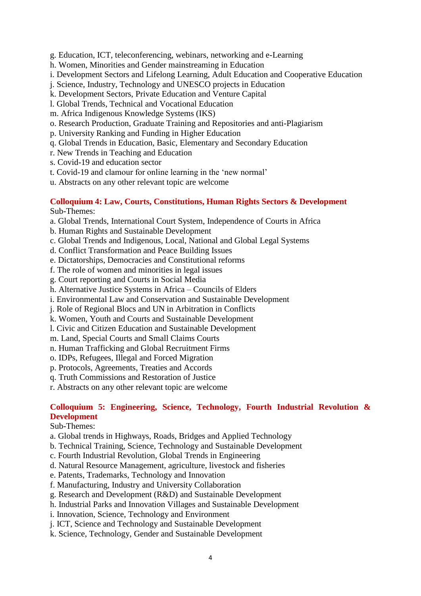g. Education, ICT, teleconferencing, webinars, networking and e-Learning

- h. Women, Minorities and Gender mainstreaming in Education
- i. Development Sectors and Lifelong Learning, Adult Education and Cooperative Education
- j. Science, Industry, Technology and UNESCO projects in Education
- k. Development Sectors, Private Education and Venture Capital
- l. Global Trends, Technical and Vocational Education
- m. Africa Indigenous Knowledge Systems (IKS)
- o. Research Production, Graduate Training and Repositories and anti-Plagiarism
- p. University Ranking and Funding in Higher Education
- q. Global Trends in Education, Basic, Elementary and Secondary Education
- r. New Trends in Teaching and Education
- s. Covid-19 and education sector
- t. Covid-19 and clamour for online learning in the 'new normal'
- u. Abstracts on any other relevant topic are welcome

### **Colloquium 4: Law, Courts, Constitutions, Human Rights Sectors & Development** Sub-Themes:

- a. Global Trends, International Court System, Independence of Courts in Africa
- b. Human Rights and Sustainable Development
- c. Global Trends and Indigenous, Local, National and Global Legal Systems
- d. Conflict Transformation and Peace Building Issues
- e. Dictatorships, Democracies and Constitutional reforms
- f. The role of women and minorities in legal issues
- g. Court reporting and Courts in Social Media
- h. Alternative Justice Systems in Africa Councils of Elders
- i. Environmental Law and Conservation and Sustainable Development
- j. Role of Regional Blocs and UN in Arbitration in Conflicts
- k. Women, Youth and Courts and Sustainable Development
- l. Civic and Citizen Education and Sustainable Development
- m. Land, Special Courts and Small Claims Courts
- n. Human Trafficking and Global Recruitment Firms
- o. IDPs, Refugees, Illegal and Forced Migration
- p. Protocols, Agreements, Treaties and Accords
- q. Truth Commissions and Restoration of Justice
- r. Abstracts on any other relevant topic are welcome

## **Colloquium 5: Engineering, Science, Technology, Fourth Industrial Revolution & Development**

- a. Global trends in Highways, Roads, Bridges and Applied Technology
- b. Technical Training, Science, Technology and Sustainable Development
- c. Fourth Industrial Revolution, Global Trends in Engineering
- d. Natural Resource Management, agriculture, livestock and fisheries
- e. Patents, Trademarks, Technology and Innovation
- f. Manufacturing, Industry and University Collaboration
- g. Research and Development (R&D) and Sustainable Development
- h. Industrial Parks and Innovation Villages and Sustainable Development
- i. Innovation, Science, Technology and Environment
- j. ICT, Science and Technology and Sustainable Development
- k. Science, Technology, Gender and Sustainable Development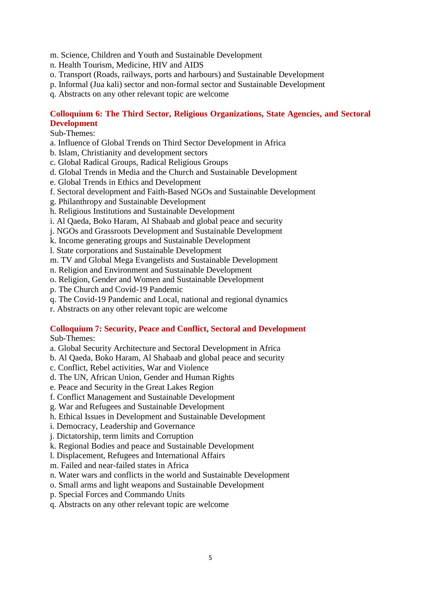m. Science, Children and Youth and Sustainable Development

- n. Health Tourism, Medicine, HIV and AIDS
- o. Transport (Roads, railways, ports and harbours) and Sustainable Development
- p. Informal (Jua kali) sector and non-formal sector and Sustainable Development
- q. Abstracts on any other relevant topic are welcome

## **Colloquium 6: The Third Sector, Religious Organizations, State Agencies, and Sectoral Development**

### Sub-Themes:

- a. Influence of Global Trends on Third Sector Development in Africa
- b. Islam, Christianity and development sectors
- c. Global Radical Groups, Radical Religious Groups
- d. Global Trends in Media and the Church and Sustainable Development
- e. Global Trends in Ethics and Development
- f. Sectoral development and Faith-Based NGOs and Sustainable Development
- g. Philanthropy and Sustainable Development
- h. Religious Institutions and Sustainable Development
- i. Al Qaeda, Boko Haram, Al Shabaab and global peace and security
- j. NGOs and Grassroots Development and Sustainable Development
- k. Income generating groups and Sustainable Development
- l. State corporations and Sustainable Development
- m. TV and Global Mega Evangelists and Sustainable Development
- n. Religion and Environment and Sustainable Development
- o. Religion, Gender and Women and Sustainable Development
- p. The Church and Covid-19 Pandemic
- q. The Covid-19 Pandemic and Local, national and regional dynamics
- r. Abstracts on any other relevant topic are welcome

# **Colloquium 7: Security, Peace and Conflict, Sectoral and Development**

- a. Global Security Architecture and Sectoral Development in Africa
- b. Al Qaeda, Boko Haram, Al Shabaab and global peace and security
- c. Conflict, Rebel activities, War and Violence
- d. The UN, African Union, Gender and Human Rights
- e. Peace and Security in the Great Lakes Region
- f. Conflict Management and Sustainable Development
- g. War and Refugees and Sustainable Development
- h. Ethical Issues in Development and Sustainable Development
- i. Democracy, Leadership and Governance
- j. Dictatorship, term limits and Corruption
- k. Regional Bodies and peace and Sustainable Development
- l. Displacement, Refugees and International Affairs
- m. Failed and near-failed states in Africa
- n. Water wars and conflicts in the world and Sustainable Development
- o. Small arms and light weapons and Sustainable Development
- p. Special Forces and Commando Units
- q. Abstracts on any other relevant topic are welcome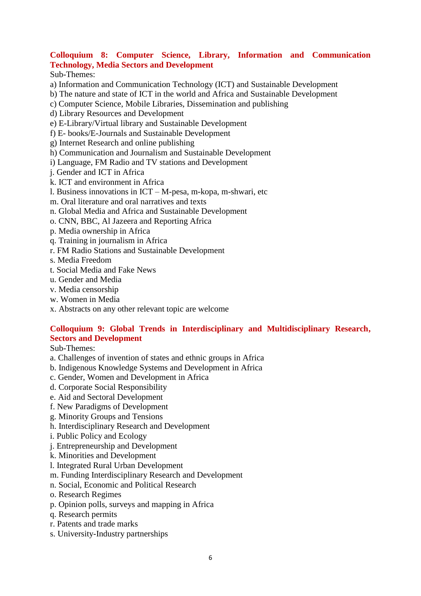# **Colloquium 8: Computer Science, Library, Information and Communication Technology, Media Sectors and Development**

Sub-Themes:

a) Information and Communication Technology (ICT) and Sustainable Development

b) The nature and state of ICT in the world and Africa and Sustainable Development

c) Computer Science, Mobile Libraries, Dissemination and publishing

d) Library Resources and Development

e) E-Library/Virtual library and Sustainable Development

- f) E- books/E-Journals and Sustainable Development
- g) Internet Research and online publishing
- h) Communication and Journalism and Sustainable Development
- i) Language, FM Radio and TV stations and Development
- j. Gender and ICT in Africa
- k. ICT and environment in Africa
- l. Business innovations in ICT M-pesa, m-kopa, m-shwari, etc
- m. Oral literature and oral narratives and texts
- n. Global Media and Africa and Sustainable Development
- o. CNN, BBC, Al Jazeera and Reporting Africa
- p. Media ownership in Africa
- q. Training in journalism in Africa
- r. FM Radio Stations and Sustainable Development
- s. Media Freedom
- t. Social Media and Fake News
- u. Gender and Media
- v. Media censorship
- w. Women in Media
- x. Abstracts on any other relevant topic are welcome

## **Colloquium 9: Global Trends in Interdisciplinary and Multidisciplinary Research, Sectors and Development**

- a. Challenges of invention of states and ethnic groups in Africa
- b. Indigenous Knowledge Systems and Development in Africa
- c. Gender, Women and Development in Africa
- d. Corporate Social Responsibility
- e. Aid and Sectoral Development
- f. New Paradigms of Development
- g. Minority Groups and Tensions
- h. Interdisciplinary Research and Development
- i. Public Policy and Ecology
- j. Entrepreneurship and Development
- k. Minorities and Development
- l. Integrated Rural Urban Development
- m. Funding Interdisciplinary Research and Development
- n. Social, Economic and Political Research
- o. Research Regimes
- p. Opinion polls, surveys and mapping in Africa
- q. Research permits
- r. Patents and trade marks
- s. University-Industry partnerships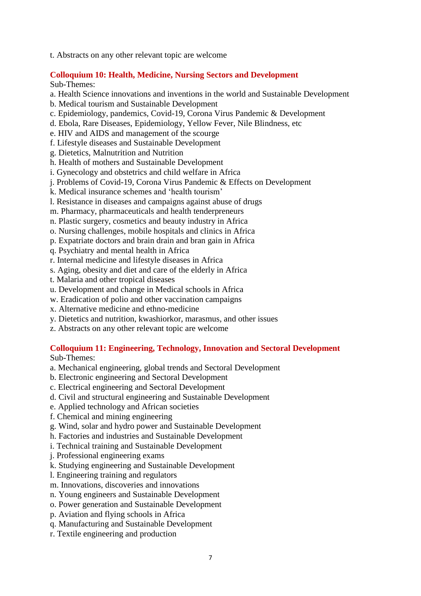t. Abstracts on any other relevant topic are welcome

## **Colloquium 10: Health, Medicine, Nursing Sectors and Development**

Sub-Themes:

- a. Health Science innovations and inventions in the world and Sustainable Development
- b. Medical tourism and Sustainable Development
- c. Epidemiology, pandemics, Covid-19, Corona Virus Pandemic & Development
- d. Ebola, Rare Diseases, Epidemiology, Yellow Fever, Nile Blindness, etc
- e. HIV and AIDS and management of the scourge
- f. Lifestyle diseases and Sustainable Development
- g. Dietetics, Malnutrition and Nutrition
- h. Health of mothers and Sustainable Development
- i. Gynecology and obstetrics and child welfare in Africa
- j. Problems of Covid-19, Corona Virus Pandemic & Effects on Development
- k. Medical insurance schemes and 'health tourism'
- l. Resistance in diseases and campaigns against abuse of drugs
- m. Pharmacy, pharmaceuticals and health tenderpreneurs
- n. Plastic surgery, cosmetics and beauty industry in Africa
- o. Nursing challenges, mobile hospitals and clinics in Africa
- p. Expatriate doctors and brain drain and bran gain in Africa
- q. Psychiatry and mental health in Africa
- r. Internal medicine and lifestyle diseases in Africa
- s. Aging, obesity and diet and care of the elderly in Africa
- t. Malaria and other tropical diseases
- u. Development and change in Medical schools in Africa
- w. Eradication of polio and other vaccination campaigns
- x. Alternative medicine and ethno-medicine
- y. Dietetics and nutrition, kwashiorkor, marasmus, and other issues
- z. Abstracts on any other relevant topic are welcome

# **Colloquium 11: Engineering, Technology, Innovation and Sectoral Development**

- a. Mechanical engineering, global trends and Sectoral Development
- b. Electronic engineering and Sectoral Development
- c. Electrical engineering and Sectoral Development
- d. Civil and structural engineering and Sustainable Development
- e. Applied technology and African societies
- f. Chemical and mining engineering
- g. Wind, solar and hydro power and Sustainable Development
- h. Factories and industries and Sustainable Development
- i. Technical training and Sustainable Development
- j. Professional engineering exams
- k. Studying engineering and Sustainable Development
- l. Engineering training and regulators
- m. Innovations, discoveries and innovations
- n. Young engineers and Sustainable Development
- o. Power generation and Sustainable Development
- p. Aviation and flying schools in Africa
- q. Manufacturing and Sustainable Development
- r. Textile engineering and production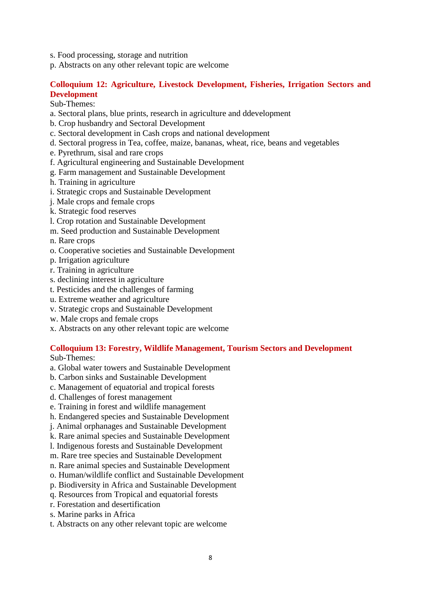- s. Food processing, storage and nutrition
- p. Abstracts on any other relevant topic are welcome

### **Colloquium 12: Agriculture, Livestock Development, Fisheries, Irrigation Sectors and Development**

Sub-Themes:

- a. Sectoral plans, blue prints, research in agriculture and ddevelopment
- b. Crop husbandry and Sectoral Development
- c. Sectoral development in Cash crops and national development
- d. Sectoral progress in Tea, coffee, maize, bananas, wheat, rice, beans and vegetables
- e. Pyrethrum, sisal and rare crops
- f. Agricultural engineering and Sustainable Development
- g. Farm management and Sustainable Development
- h. Training in agriculture
- i. Strategic crops and Sustainable Development
- j. Male crops and female crops
- k. Strategic food reserves
- l. Crop rotation and Sustainable Development
- m. Seed production and Sustainable Development
- n. Rare crops
- o. Cooperative societies and Sustainable Development
- p. Irrigation agriculture
- r. Training in agriculture
- s. declining interest in agriculture
- t. Pesticides and the challenges of farming
- u. Extreme weather and agriculture
- v. Strategic crops and Sustainable Development
- w. Male crops and female crops
- x. Abstracts on any other relevant topic are welcome

## **Colloquium 13: Forestry, Wildlife Management, Tourism Sectors and Development**

- a. Global water towers and Sustainable Development
- b. Carbon sinks and Sustainable Development
- c. Management of equatorial and tropical forests
- d. Challenges of forest management
- e. Training in forest and wildlife management
- h. Endangered species and Sustainable Development
- j. Animal orphanages and Sustainable Development
- k. Rare animal species and Sustainable Development
- l. Indigenous forests and Sustainable Development
- m. Rare tree species and Sustainable Development
- n. Rare animal species and Sustainable Development
- o. Human/wildlife conflict and Sustainable Development
- p. Biodiversity in Africa and Sustainable Development
- q. Resources from Tropical and equatorial forests
- r. Forestation and desertification
- s. Marine parks in Africa
- t. Abstracts on any other relevant topic are welcome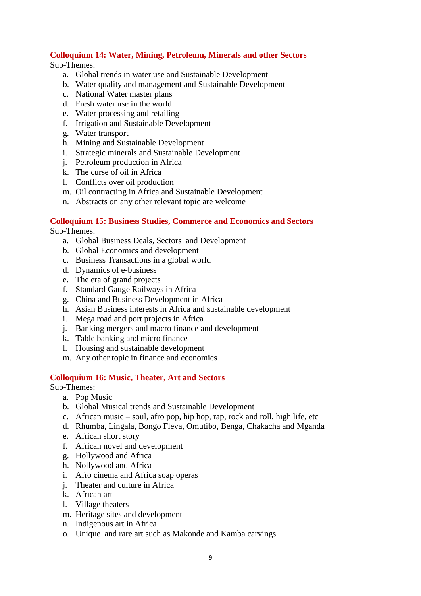## **Colloquium 14: Water, Mining, Petroleum, Minerals and other Sectors**

Sub-Themes:

- a. Global trends in water use and Sustainable Development
- b. Water quality and management and Sustainable Development
- c. National Water master plans
- d. Fresh water use in the world
- e. Water processing and retailing
- f. Irrigation and Sustainable Development
- g. Water transport
- h. Mining and Sustainable Development
- i. Strategic minerals and Sustainable Development
- j. Petroleum production in Africa
- k. The curse of oil in Africa
- l. Conflicts over oil production
- m. Oil contracting in Africa and Sustainable Development
- n. Abstracts on any other relevant topic are welcome

### **Colloquium 15: Business Studies, Commerce and Economics and Sectors**

Sub-Themes:

- a. Global Business Deals, Sectors and Development
- b. Global Economics and development
- c. Business Transactions in a global world
- d. Dynamics of e-business
- e. The era of grand projects
- f. Standard Gauge Railways in Africa
- g. China and Business Development in Africa
- h. Asian Business interests in Africa and sustainable development
- i. Mega road and port projects in Africa
- j. Banking mergers and macro finance and development
- k. Table banking and micro finance
- l. Housing and sustainable development
- m. Any other topic in finance and economics

### **Colloquium 16: Music, Theater, Art and Sectors**

- a. Pop Music
- b. Global Musical trends and Sustainable Development
- c. African music soul, afro pop, hip hop, rap, rock and roll, high life, etc
- d. Rhumba, Lingala, Bongo Fleva, Omutibo, Benga, Chakacha and Mganda
- e. African short story
- f. African novel and development
- g. Hollywood and Africa
- h. Nollywood and Africa
- i. Afro cinema and Africa soap operas
- j. Theater and culture in Africa
- k. African art
- l. Village theaters
- m. Heritage sites and development
- n. Indigenous art in Africa
- o. Unique and rare art such as Makonde and Kamba carvings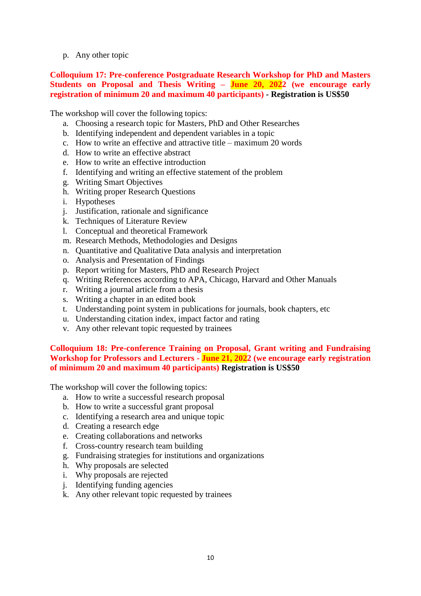p. Any other topic

## **Colloquium 17: Pre-conference Postgraduate Research Workshop for PhD and Masters Students on Proposal and Thesis Writing – June 20, 2022 (we encourage early registration of minimum 20 and maximum 40 participants) - Registration is US\$50**

The workshop will cover the following topics:

- a. Choosing a research topic for Masters, PhD and Other Researches
- b. Identifying independent and dependent variables in a topic
- c. How to write an effective and attractive title maximum 20 words
- d. How to write an effective abstract
- e. How to write an effective introduction
- f. Identifying and writing an effective statement of the problem
- g. Writing Smart Objectives
- h. Writing proper Research Questions
- i. Hypotheses
- j. Justification, rationale and significance
- k. Techniques of Literature Review
- l. Conceptual and theoretical Framework
- m. Research Methods, Methodologies and Designs
- n. Quantitative and Qualitative Data analysis and interpretation
- o. Analysis and Presentation of Findings
- p. Report writing for Masters, PhD and Research Project
- q. Writing References according to APA, Chicago, Harvard and Other Manuals
- r. Writing a journal article from a thesis
- s. Writing a chapter in an edited book
- t. Understanding point system in publications for journals, book chapters, etc
- u. Understanding citation index, impact factor and rating
- v. Any other relevant topic requested by trainees

### **Colloquium 18: Pre-conference Training on Proposal, Grant writing and Fundraising Workshop for Professors and Lecturers - June 21, 2022 (we encourage early registration of minimum 20 and maximum 40 participants) Registration is US\$50**

The workshop will cover the following topics:

- a. How to write a successful research proposal
- b. How to write a successful grant proposal
- c. Identifying a research area and unique topic
- d. Creating a research edge
- e. Creating collaborations and networks
- f. Cross-country research team building
- g. Fundraising strategies for institutions and organizations
- h. Why proposals are selected
- i. Why proposals are rejected
- j. Identifying funding agencies
- k. Any other relevant topic requested by trainees